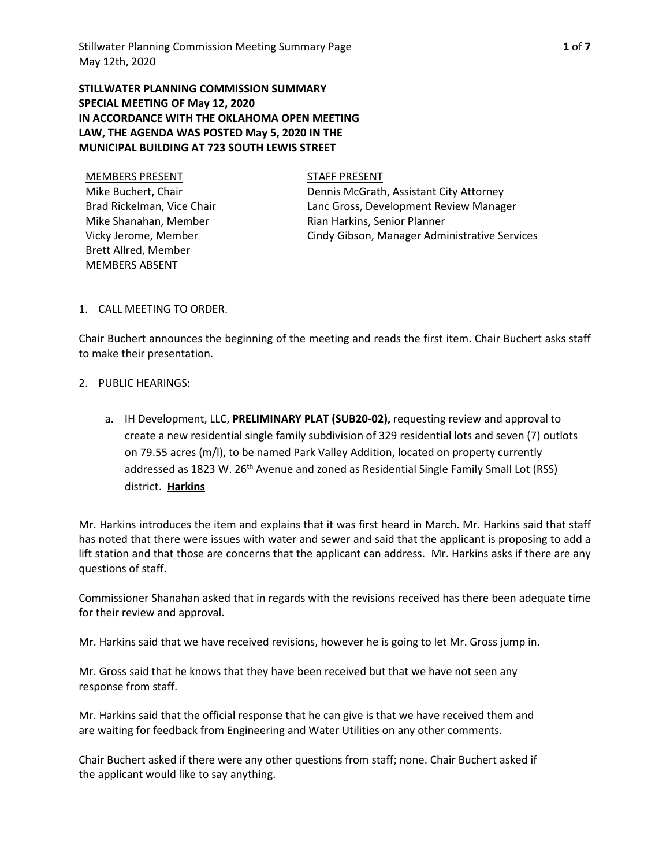**STILLWATER PLANNING COMMISSION SUMMARY SPECIAL MEETING OF May 12, 2020 IN ACCORDANCE WITH THE OKLAHOMA OPEN MEETING LAW, THE AGENDA WAS POSTED May 5, 2020 IN THE MUNICIPAL BUILDING AT 723 SOUTH LEWIS STREET**

MEMBERS PRESENT STAFF PRESENT Mike Buchert, Chair Brad Rickelman, Vice Chair Mike Shanahan, Member Vicky Jerome, Member Brett Allred, Member MEMBERS ABSENT

Dennis McGrath, Assistant City Attorney Lanc Gross, Development Review Manager Rian Harkins, Senior Planner Cindy Gibson, Manager Administrative Services

## 1. CALL MEETING TO ORDER.

Chair Buchert announces the beginning of the meeting and reads the first item. Chair Buchert asks staff to make their presentation.

## 2. PUBLIC HEARINGS:

a. IH Development, LLC, **PRELIMINARY PLAT (SUB20-02),** requesting review and approval to create a new residential single family subdivision of 329 residential lots and seven (7) outlots on 79.55 acres (m/l), to be named Park Valley Addition, located on property currently addressed as 1823 W. 26<sup>th</sup> Avenue and zoned as Residential Single Family Small Lot (RSS) district. **Harkins**

Mr. Harkins introduces the item and explains that it was first heard in March. Mr. Harkins said that staff has noted that there were issues with water and sewer and said that the applicant is proposing to add a lift station and that those are concerns that the applicant can address. Mr. Harkins asks if there are any questions of staff.

Commissioner Shanahan asked that in regards with the revisions received has there been adequate time for their review and approval.

Mr. Harkins said that we have received revisions, however he is going to let Mr. Gross jump in.

Mr. Gross said that he knows that they have been received but that we have not seen any response from staff.

Mr. Harkins said that the official response that he can give is that we have received them and are waiting for feedback from Engineering and Water Utilities on any other comments.

Chair Buchert asked if there were any other questions from staff; none. Chair Buchert asked if the applicant would like to say anything.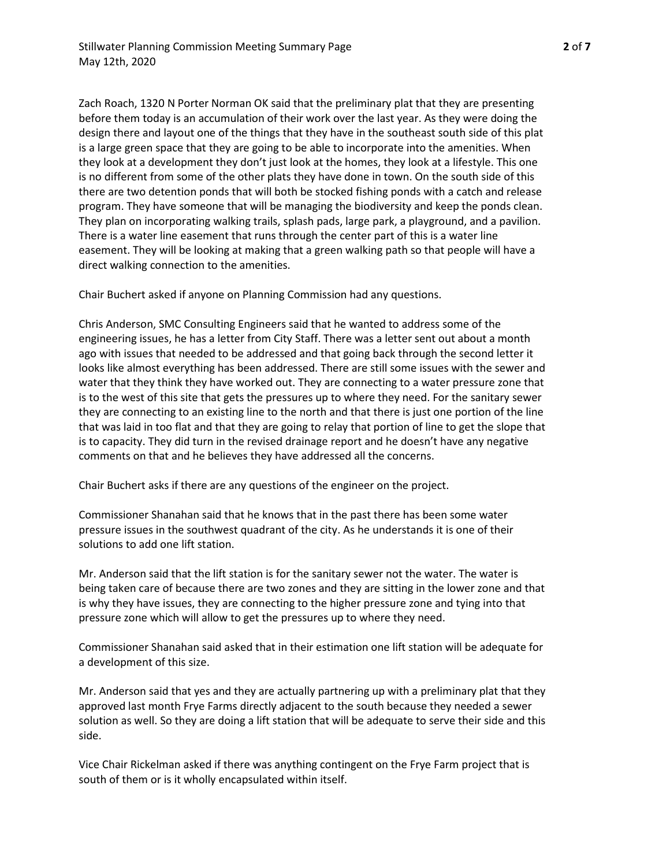Zach Roach, 1320 N Porter Norman OK said that the preliminary plat that they are presenting before them today is an accumulation of their work over the last year. As they were doing the design there and layout one of the things that they have in the southeast south side of this plat is a large green space that they are going to be able to incorporate into the amenities. When they look at a development they don't just look at the homes, they look at a lifestyle. This one is no different from some of the other plats they have done in town. On the south side of this there are two detention ponds that will both be stocked fishing ponds with a catch and release program. They have someone that will be managing the biodiversity and keep the ponds clean. They plan on incorporating walking trails, splash pads, large park, a playground, and a pavilion. There is a water line easement that runs through the center part of this is a water line easement. They will be looking at making that a green walking path so that people will have a direct walking connection to the amenities.

Chair Buchert asked if anyone on Planning Commission had any questions.

Chris Anderson, SMC Consulting Engineers said that he wanted to address some of the engineering issues, he has a letter from City Staff. There was a letter sent out about a month ago with issues that needed to be addressed and that going back through the second letter it looks like almost everything has been addressed. There are still some issues with the sewer and water that they think they have worked out. They are connecting to a water pressure zone that is to the west of this site that gets the pressures up to where they need. For the sanitary sewer they are connecting to an existing line to the north and that there is just one portion of the line that was laid in too flat and that they are going to relay that portion of line to get the slope that is to capacity. They did turn in the revised drainage report and he doesn't have any negative comments on that and he believes they have addressed all the concerns.

Chair Buchert asks if there are any questions of the engineer on the project.

Commissioner Shanahan said that he knows that in the past there has been some water pressure issues in the southwest quadrant of the city. As he understands it is one of their solutions to add one lift station.

Mr. Anderson said that the lift station is for the sanitary sewer not the water. The water is being taken care of because there are two zones and they are sitting in the lower zone and that is why they have issues, they are connecting to the higher pressure zone and tying into that pressure zone which will allow to get the pressures up to where they need.

Commissioner Shanahan said asked that in their estimation one lift station will be adequate for a development of this size.

Mr. Anderson said that yes and they are actually partnering up with a preliminary plat that they approved last month Frye Farms directly adjacent to the south because they needed a sewer solution as well. So they are doing a lift station that will be adequate to serve their side and this side.

Vice Chair Rickelman asked if there was anything contingent on the Frye Farm project that is south of them or is it wholly encapsulated within itself.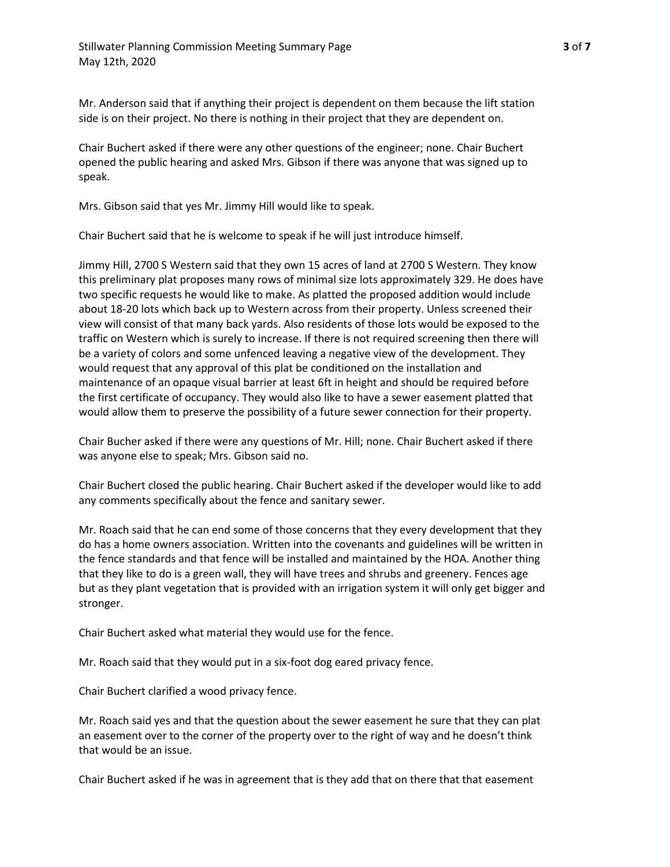Mr. Anderson said that if anything their project is dependent on them because the lift station side is on their project. No there is nothing in their project that they are dependent on.

Chair Buchert asked if there were any other questions of the engineer; none. Chair Buchert opened the public hearing and asked Mrs. Gibson if there was anyone that was signed up to speak.

Mrs. Gibson said that yes Mr. Jimmy Hill would like to speak.

Chair Buchert said that he is welcome to speak if he will just introduce himself.

Jimmy Hill, 2700 S Western said that they own 15 acres of land at 2700 S Western. They know this preliminary plat proposes many rows of minimal size lots approximately 329. He does have two specific requests he would like to make. As platted the proposed addition would include about 18-20 lots which back up to Western across from their property. Unless screened their view will consist of that many back yards. Also residents of those lots would be exposed to the traffic on Western which is surely to increase. If there is not required screening then there will be a variety of colors and some unfenced leaving a negative view of the development. They would request that any approval of this plat be conditioned on the installation and maintenance of an opaque visual barrier at least 6ft in height and should be required before the first certificate of occupancy. They would also like to have a sewer easement platted that would allow them to preserve the possibility of a future sewer connection for their property.

Chair Bucher asked if there were any questions of Mr. Hill; none. Chair Buchert asked if there was anyone else to speak; Mrs. Gibson said no.

Chair Buchert closed the public hearing. Chair Buchert asked if the developer would like to add any comments specifically about the fence and sanitary sewer.

Mr. Roach said that he can end some of those concerns that they every development that they do has a home owners association. Written into the covenants and guidelines will be written in the fence standards and that fence will be installed and maintained by the HOA. Another thing that they like to do is a green wall, they will have trees and shrubs and greenery. Fences age but as they plant vegetation that is provided with an irrigation system it will only get bigger and stronger.

Chair Buchert asked what material they would use for the fence.

Mr. Roach said that they would put in a six-foot dog eared privacy fence.

Chair Buchert clarified a wood privacy fence.

Mr. Roach said yes and that the question about the sewer easement he sure that they can plat an easement over to the corner of the property over to the right of way and he doesn't think that would be an issue.

Chair Buchert asked if he was in agreement that is they add that on there that that easement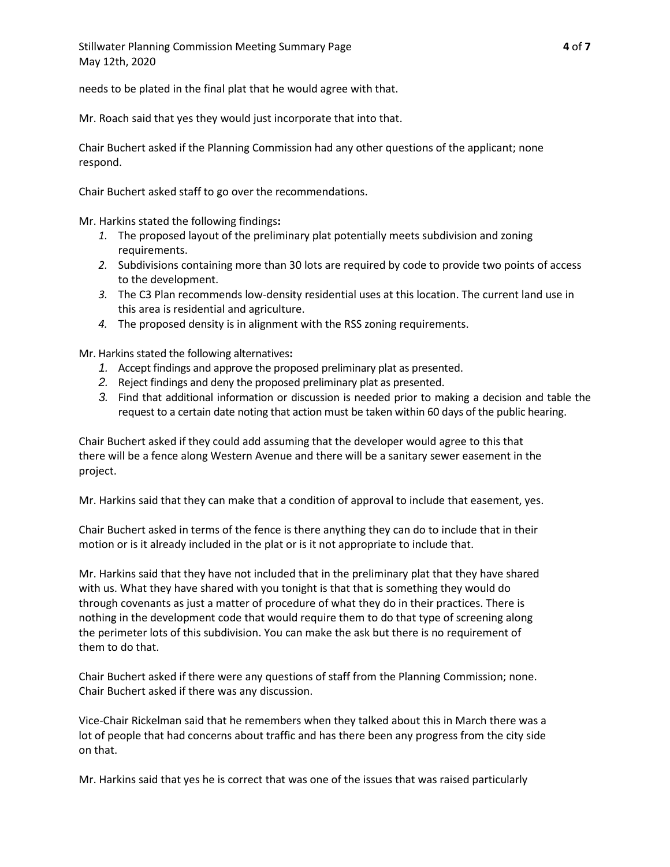Stillwater Planning Commission Meeting Summary Page **4** of **7** May 12th, 2020

needs to be plated in the final plat that he would agree with that.

Mr. Roach said that yes they would just incorporate that into that.

Chair Buchert asked if the Planning Commission had any other questions of the applicant; none respond.

Chair Buchert asked staff to go over the recommendations.

Mr. Harkins stated the following findings**:**

- *1.* The proposed layout of the preliminary plat potentially meets subdivision and zoning requirements.
- *2.* Subdivisions containing more than 30 lots are required by code to provide two points of access to the development.
- *3.* The C3 Plan recommends low-density residential uses at this location. The current land use in this area is residential and agriculture.
- *4.* The proposed density is in alignment with the RSS zoning requirements.

Mr. Harkins stated the following alternatives**:**

- *1.* Accept findings and approve the proposed preliminary plat as presented.
- *2.* Reject findings and deny the proposed preliminary plat as presented.
- *3.* Find that additional information or discussion is needed prior to making a decision and table the request to a certain date noting that action must be taken within 60 days of the public hearing.

Chair Buchert asked if they could add assuming that the developer would agree to this that there will be a fence along Western Avenue and there will be a sanitary sewer easement in the project.

Mr. Harkins said that they can make that a condition of approval to include that easement, yes.

Chair Buchert asked in terms of the fence is there anything they can do to include that in their motion or is it already included in the plat or is it not appropriate to include that.

Mr. Harkins said that they have not included that in the preliminary plat that they have shared with us. What they have shared with you tonight is that that is something they would do through covenants as just a matter of procedure of what they do in their practices. There is nothing in the development code that would require them to do that type of screening along the perimeter lots of this subdivision. You can make the ask but there is no requirement of them to do that.

Chair Buchert asked if there were any questions of staff from the Planning Commission; none. Chair Buchert asked if there was any discussion.

Vice-Chair Rickelman said that he remembers when they talked about this in March there was a lot of people that had concerns about traffic and has there been any progress from the city side on that.

Mr. Harkins said that yes he is correct that was one of the issues that was raised particularly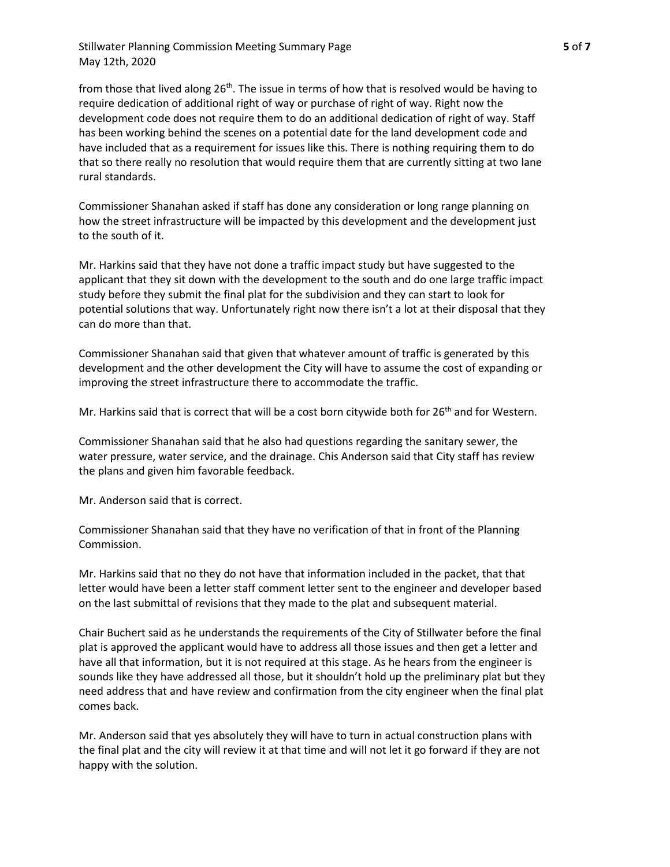Stillwater Planning Commission Meeting Summary Page **5** of **7** May 12th, 2020

from those that lived along  $26<sup>th</sup>$ . The issue in terms of how that is resolved would be having to require dedication of additional right of way or purchase of right of way. Right now the development code does not require them to do an additional dedication of right of way. Staff has been working behind the scenes on a potential date for the land development code and have included that as a requirement for issues like this. There is nothing requiring them to do that so there really no resolution that would require them that are currently sitting at two lane rural standards.

Commissioner Shanahan asked if staff has done any consideration or long range planning on how the street infrastructure will be impacted by this development and the development just to the south of it.

Mr. Harkins said that they have not done a traffic impact study but have suggested to the applicant that they sit down with the development to the south and do one large traffic impact study before they submit the final plat for the subdivision and they can start to look for potential solutions that way. Unfortunately right now there isn't a lot at their disposal that they can do more than that.

Commissioner Shanahan said that given that whatever amount of traffic is generated by this development and the other development the City will have to assume the cost of expanding or improving the street infrastructure there to accommodate the traffic.

Mr. Harkins said that is correct that will be a cost born citywide both for  $26<sup>th</sup>$  and for Western.

Commissioner Shanahan said that he also had questions regarding the sanitary sewer, the water pressure, water service, and the drainage. Chis Anderson said that City staff has review the plans and given him favorable feedback.

Mr. Anderson said that is correct.

Commissioner Shanahan said that they have no verification of that in front of the Planning Commission.

Mr. Harkins said that no they do not have that information included in the packet, that that letter would have been a letter staff comment letter sent to the engineer and developer based on the last submittal of revisions that they made to the plat and subsequent material.

Chair Buchert said as he understands the requirements of the City of Stillwater before the final plat is approved the applicant would have to address all those issues and then get a letter and have all that information, but it is not required at this stage. As he hears from the engineer is sounds like they have addressed all those, but it shouldn't hold up the preliminary plat but they need address that and have review and confirmation from the city engineer when the final plat comes back.

Mr. Anderson said that yes absolutely they will have to turn in actual construction plans with the final plat and the city will review it at that time and will not let it go forward if they are not happy with the solution.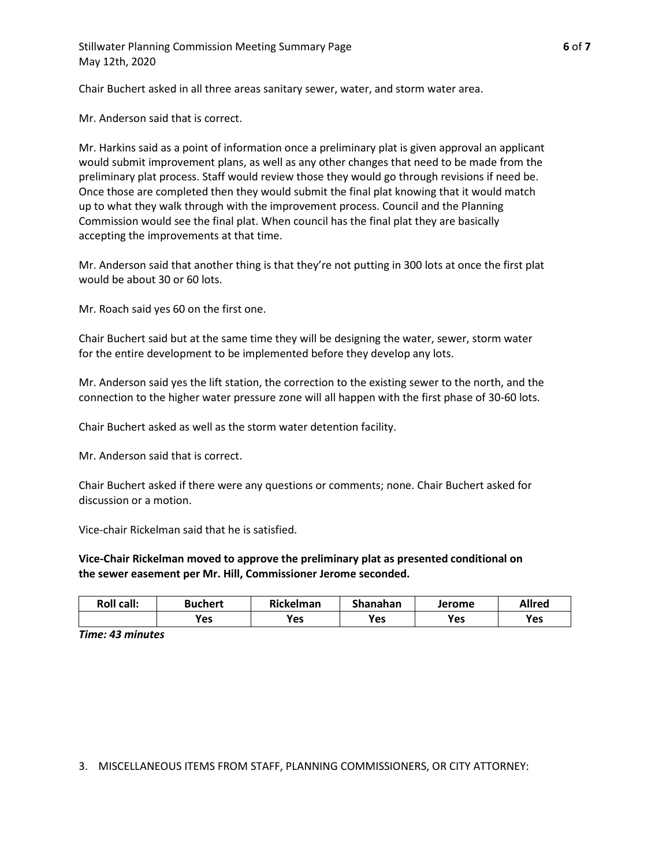Stillwater Planning Commission Meeting Summary Page **6** of **7** May 12th, 2020

Chair Buchert asked in all three areas sanitary sewer, water, and storm water area.

Mr. Anderson said that is correct.

Mr. Harkins said as a point of information once a preliminary plat is given approval an applicant would submit improvement plans, as well as any other changes that need to be made from the preliminary plat process. Staff would review those they would go through revisions if need be. Once those are completed then they would submit the final plat knowing that it would match up to what they walk through with the improvement process. Council and the Planning Commission would see the final plat. When council has the final plat they are basically accepting the improvements at that time.

Mr. Anderson said that another thing is that they're not putting in 300 lots at once the first plat would be about 30 or 60 lots.

Mr. Roach said yes 60 on the first one.

Chair Buchert said but at the same time they will be designing the water, sewer, storm water for the entire development to be implemented before they develop any lots.

Mr. Anderson said yes the lift station, the correction to the existing sewer to the north, and the connection to the higher water pressure zone will all happen with the first phase of 30-60 lots.

Chair Buchert asked as well as the storm water detention facility.

Mr. Anderson said that is correct.

Chair Buchert asked if there were any questions or comments; none. Chair Buchert asked for discussion or a motion.

Vice-chair Rickelman said that he is satisfied.

**Vice-Chair Rickelman moved to approve the preliminary plat as presented conditional on the sewer easement per Mr. Hill, Commissioner Jerome seconded.**

| <b>Roll call:</b> | Buchert | <b>Rickelman</b> | Shanahan | Jerome | <b>Allred</b> |
|-------------------|---------|------------------|----------|--------|---------------|
|                   | Yes     | <b>Yes</b>       | Yes      | Yes    | Yes           |

*Time: 43 minutes*

3. MISCELLANEOUS ITEMS FROM STAFF, PLANNING COMMISSIONERS, OR CITY ATTORNEY: